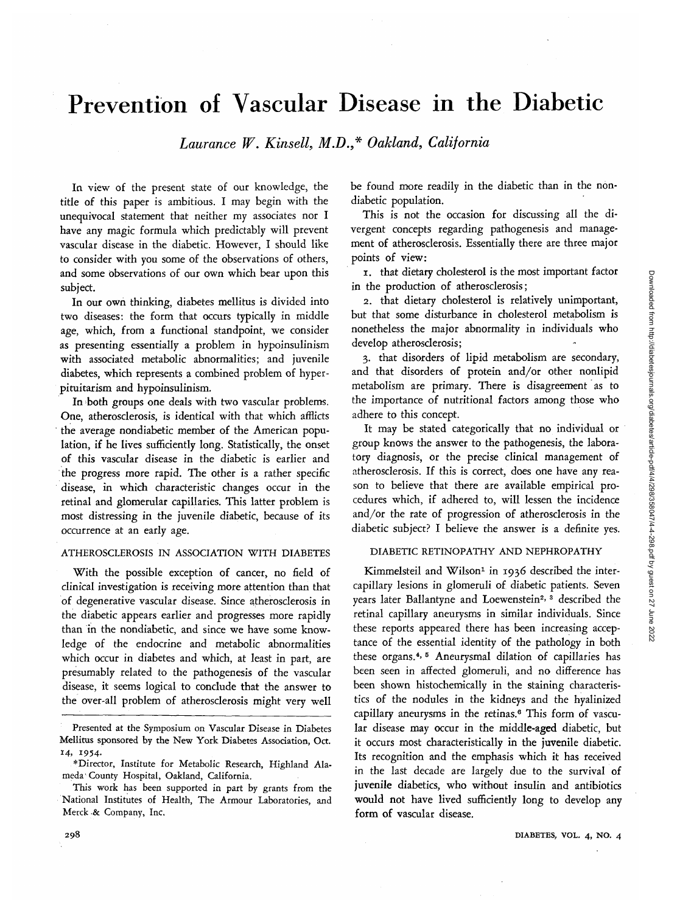# Prevention of Vascular Disease in the Diabetic

*Laurance W. Kinsell, M.D.,\* Oakland, California*

In view of the present state of our knowledge, the title of this paper is ambitious. I may begin with the unequivocal statement that neither my associates nor I have any magic formula which predictably will prevent vascular disease in the diabetic. However, I should like to consider with you some of the observations of others, and some observations of our own which bear upon this subject.

In our own thinking, diabetes mellitus is divided into two diseases: the form that occurs typically in middle age, which, from a functional standpoint, we consider as presenting essentially a problem in hypoinsulinism with associated metabolic abnormalities; and juvenile diabetes, which represents a combined problem of hyperpituitarism and hypoinsulinism.

In both groups one deals with two vascular problems. One, atherosclerosis, is identical with that which afflicts the average nondiabetic member of the American population, if he lives sufficiently long. Statistically, the onset of this vascular disease in the diabetic is earlier and the progress more rapid. The other is a rather specific disease, in which characteristic changes occur in the retinal and glomerular capillaries. This latter problem is most distressing in the juvenile diabetic, because of its occurrence at an early age.

#### ATHEROSCLEROSIS IN ASSOCIATION WITH DIABETES

With the possible exception of cancer, no field of clinical investigation is receiving more attention than that of degenerative vascular disease. Since atherosclerosis in the diabetic appears earlier and progresses more rapidly than in the nondiabetic, and since we have some knowledge of the endocrine and metabolic abnormalities which occur in diabetes and which, at least in part, are presumably related to the pathogenesis of the vascular disease, it seems logical to conclude that the answer to the over-all problem of atherosclerosis might very well be found more readily in the diabetic than in the nondiabetic population.

This is not the occasion for discussing all the divergent concepts regarding pathogenesis and management of atherosclerosis. Essentially there are three major points of view:

1. that dietary cholesterol is the most important factor in the production of atherosclerosis;

2. that dietary cholesterol is relatively unimportant, but that some disturbance in cholesterol metabolism is nonetheless the major abnormality in individuals who develop atherosclerosis;

3. that disorders of lipid metabolism are secondary, and that disorders of protein and/or other nonlipid metabolism are primary. There is disagreement as to the importance of nutritional factors among those who adhere to this concept.

It may be stated categorically that no individual or group knows the answer to the pathogenesis, the laboratory diagnosis, or the precise clinical management of atherosclerosis. If this is correct, does one have any reason to believe that there are available empirical procedures which, if adhered to, will lessen the incidence and/or the rate of progression of atherosclerosis in the diabetic subject? I believe the answer is a definite yes.

# DIABETIC RETINOPATHY AND NEPHROPATHY

Kimmelsteil and Wilson<sup>1</sup> in 1936 described the intercapillary lesions in glomeruli of diabetic patients. Seven years later Ballantyne and Loewenstein<sup>2, 3</sup> described the retinal capillary aneurysms in similar individuals. Since these reports appeared there has been increasing acceptance of the essential identity of the pathology in both these organs.<sup>4, 5</sup> Aneurysmal dilation of capillaries has been seen in affected glomeruli, and no difference has been shown histochemically in the staining characteristics of the nodules in the kidneys and the hyalinized capillary aneurysms in the retinas.6 This form of vascular disease may occur in the middle-aged diabetic, but it occurs most characteristically in the juvenile diabetic. Its recognition and the emphasis which it has received in the last decade are largely due to the survival of juvenile diabetics, who without insulin and antibiotics would not have lived sufficiently long to develop any form of vascular disease.

Presented at the Symposium on Vascular Disease in Diabetes Mellitus sponsored by the New York Diabetes Association, Oct. 14, 1954-

<sup>\*</sup>Director, Institute for Metabolic Research, Highland Alameda' County Hospital, Oakland, California.

This work has been supported in part by grants from the National Institutes of Health, The Armour Laboratories, and Merck & Company, Inc.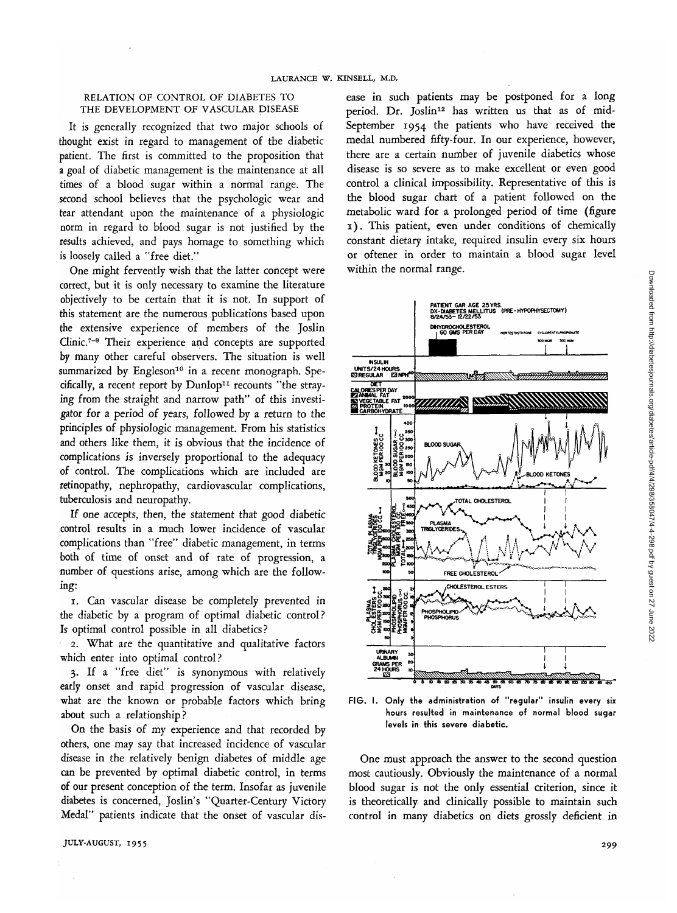#### RELATION OF CONTROL OF DIABETES TO THE DEVELOPMENT OF VASCULAR DISEASE

It *is* generally recognized that two major schools of thought exist in regard to management of the diabetic patient. The first is committed to the proposition that a goal of diabetic management is the maintenance at all times of a blood sugar within a normal range. The second school believes that the psychologic wear and tear attendant upon the maintenance of a physiologic norm in regard to blood sugar is not justified by the results achieved, and pays homage to something which is loosely called a "free diet."

One might fervently wish that the latter concept were correct, but it is only necessary to examine the literature objectively to be certain that it is not. In support of this statement are the numerous publications based upon the extensive experience of members of the Joslin Clinic.<sup>7-9</sup> Their experience and concepts are supported by many other careful observers. The situation is well summarized by Engleson<sup>10</sup> in a recent monograph. Specifically, a recent report by Dunlop<sup>11</sup> recounts "the straying from the straight and narrow path" of this investigator for a period of years, followed by a return to the principles of physiologic management. From his statistics and others like them, it is obvious that the incidence of complications is inversely proportional to the adequacy of control. The complications which are included are retinopathy, nephropathy, cardiovascular complications, tuberculosis and neuropathy.

If one accepts, then, the statement that good diabetic control results in a much lower incidence of vascular complications than "free" diabetic management, in terms both of time of onset and of rate of progression, a number of questions arise, among which are the following-:

1. Can vascular disease be completely prevented in the diabetic by a program of optimal diabetic control ? Is optimal control possible in all diabetics?

2. What are the quantitative and qualitative factors which enter into optimal control?

3. If a "free diet" is synonymous with relatively early onset and rapid progression of vascular disease, what are the known or probable factors which bring about such a relationship?

On the basis of my experience and that recorded by others, one may say that increased incidence of vascular disease in the relatively benign diabetes of middle age can be prevented by optimal diabetic control, in terms of our present conception of the term. Insofar as juvenile diabetes is concerned, Joslin's "Quarter-Century Victory Medal" patients indicate that the onset of vascular disease in such patients may be postponed for a long period. Dr. Joslin<sup>12</sup> has written us that as of mid-September 1954 the patients who have received the medal numbered fifty-four. In our experience, however, there are a certain number of juvenile diabetics whose disease is so severe as to make excellent or even good control a clinical impossibility. Representative of this is the blood sugar chart of a patient followed on the metabolic ward for a prolonged period of time (figure 1). This patient, even under conditions of chemically constant dietary intake, required insulin every six hours or oftener in order to maintain a blood sugar level within the normal range.



**FIG. I. Only the administration of "regular" insulin every six hours resulted in maintenance of normal blood sugar levels in this severe diabetic.**

One must approach the answer to the second question most cautiously. Obviously the maintenance of a normal blood sugar *is* not the only essential criterion, since it is theoretically and clinically possible to maintain such control in many diabetics on diets grossly deficient in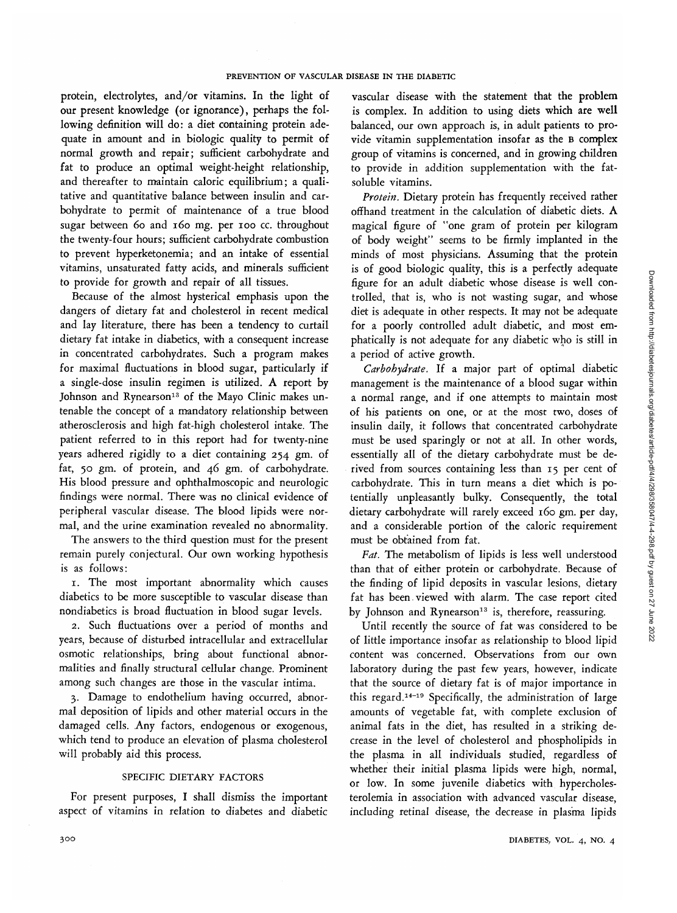#### PREVENTION OF VASCULAR DISEASE IN THE DIABETIC

protein, electrolytes, and/or vitamins. In the light of our present knowledge (or ignorance), perhaps the following definition will do: a diet containing protein adequate in amount and in biologic quality to permit of normal growth and repair; sufficient carbohydrate and fat to produce an optimal weight-height relationship, and thereafter to maintain caloric equilibrium; a qualitative and quantitative balance between insulin and carbohydrate to permit of maintenance of a true blood sugar between 60 and 160 mg. per 100 cc. throughout the twenty-four hours; sufficient carbohydrate combustion to prevent hyperketonemia; and an intake of essential vitamins, unsaturated fatty acids, and minerals sufficient to provide for growth and repair of all tissues.

Because of the almost hysterical emphasis upon the dangers of dietary fat and cholesterol in recent medical and lay literature, there has been a tendency to curtail dietary fat intake in diabetics, with a consequent increase in concentrated carbohydrates. Such a program makes for maximal fluctuations in blood sugar, particularly if a single-dose insulin regimen is utilized. A report by Johnson and Rynearson<sup>13</sup> of the Mayo Clinic makes untenable the concept of a mandatory relationship between atherosclerosis and high fat-high cholesterol intake. The patient referred to in this report had for twenty-nine years adhered rigidly to a diet containing 254 gm. of fat, 50 gm. of protein, and 46 gm. of carbohydrate. His blood pressure and ophthalmoscopic and neurologic findings were normal. There was no clinical evidence of peripheral vascular disease. The blood lipids were normal, and the urine examination revealed no abnormality.

The answers to the third question must for the present remain purely conjectural. Our own working hypothesis is as follows:

1. The most important abnormality which causes diabetics to be more susceptible to vascular disease than nondiabetics is broad fluctuation in blood sugar levels.

2. Such fluctuations over a period of months and years, because of disturbed intracellular and extracellular osmotic relationships, bring about functional abnormalities and finally structural cellular change. Prominent among such changes are those in the vascular intima.

3. Damage to endothelium having occurred, abnormal deposition of lipids and other material occurs in the damaged cells. Any factors, endogenous or exogenous, which tend to produce an elevation of plasma cholesterol will probably aid this process.

## SPECIFIC DIETARY FACTORS

For present purposes, I shall dismiss the important aspect of vitamins in relation to diabetes and diabetic

vascular disease with the statement that the problem is complex. In addition to using diets which are well balanced, our own approach is, in adult patients to provide vitamin supplementation insofar as the B complex group of vitamins is concerned, and in growing children to provide in addition supplementation with the fatsoluble vitamins.

*Protein.* Dietary protein has frequently received rather offhand treatment in the calculation of diabetic diets. A magical figure of "one gram of protein per kilogram of body weight" seems to be firmly implanted in the minds of most physicians. Assuming that the protein is of good biologic quality, this is a perfectly adequate figure for an adult diabetic whose disease is well controlled, that is, who is not wasting sugar, and whose diet is adequate in other respects. It may not be adequate for a poorly controlled adult diabetic, and most emphatically is not adequate for any diabetic who is still in a period of active growth.

*Carbohydrate.* If a major part of optimal diabetic management is the maintenance of a blood sugar within a normal range, and if one attempts to maintain most of his patients on one, or at the most two, doses of insulin daily, it follows that concentrated carbohydrate must be used sparingly or not at all. In other words, essentially all of the dietary carbohydrate must be derived from sources containing less than 15 per cent of carbohydrate. This in turn means a diet which is potentially unpleasantly bulky. Consequently, the total dietary carbohydrate will rarely exceed 160 gm. per day, and a considerable portion of the caloric requirement must be obtained from fat.

*Fat.* The metabolism of lipids is less well understood than that of either protein or carbohydrate. Because of the finding of lipid deposits in vascular lesions, dietary fat has been.viewed with alarm. The case report cited by Johnson and Rynearson<sup>13</sup> is, therefore, reassuring.

Until recently the source of fat was considered to be of little importance insofar as relationship to blood lipid content was concerned. Observations from our own laboratory during the past few years, however, indicate that the source of dietary fat is of major importance in this regard.<sup>14-19</sup> Specifically, the administration of large amounts of vegetable fat, with complete exclusion of animal fats in the diet, has resulted in a striking decrease in the level of cholesterol and phospholipids in the plasma in all individuals studied, regardless of whether their initial plasma lipids were high, normal, or low. In some juvenile diabetics with hypercholesterolemia in association with advanced vascular disease, including retinal disease, the decrease in plasma lipids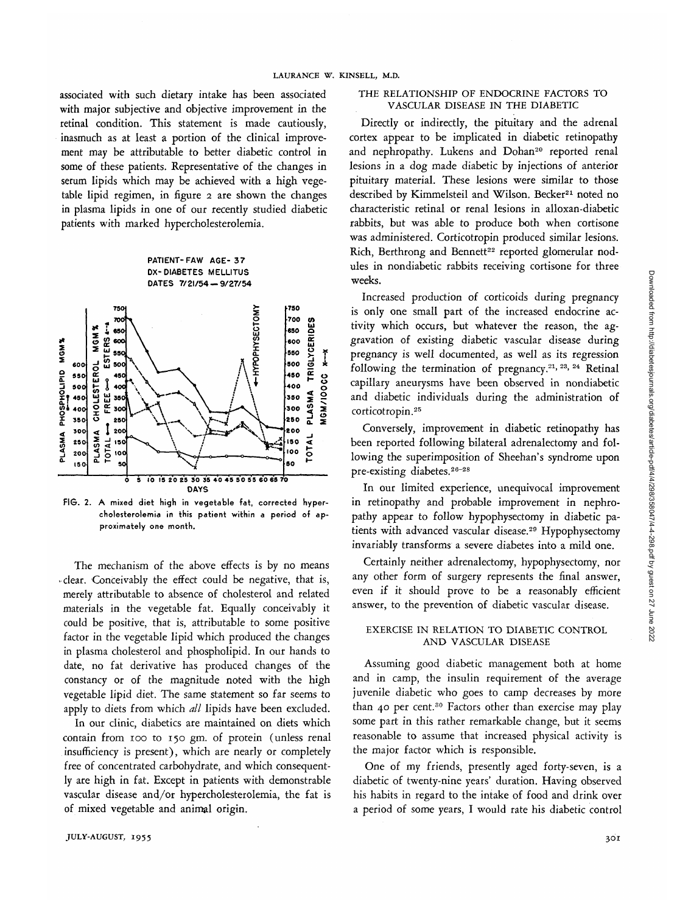associated with such dietary intake has been associated with major subjective and objective improvement in the retinal condition. This statement is made cautiously, inasmuch as at least a portion of the clinical improvement may be attributable to better diabetic control in some of these patients. Representative of the changes in serum lipids which may be achieved with a high vegetable lipid regimen, in figure 2 are shown the changes in plasma lipids in one of our recently studied diabetic patients with marked hypercholesterolemia.



FIG. 2. A mixed diet high in vegetable fat, corrected hypercholesterolemia in this patient within a period of approximately one month.

The mechanism of the above effects is by no means  $\nu$  clear. Conceivably the effect could be negative, that is, merely attributable to absence of cholesterol and related materials in the vegetable fat. Equally conceivably it could be positive, that is, attributable to some positive factor in the vegetable lipid which produced the changes in plasma cholesterol and phospholipid. In our hands to date, no fat derivative has produced changes of the constancy or of the magnitude noted with the high vegetable lipid diet. The same statement so far seems to apply to diets from which *all* lipids have been excluded.

In our clinic, diabetics are maintained on diets which contain from ioo to 150 gm. of protein (unless renal insufficiency is present), which are nearly or completely free of concentrated carbohydrate, and which consequently are high in fat. Except in patients with demonstrable vascular disease and/or hypercholesterolemia, the fat is of mixed vegetable and animal origin.

#### THE RELATIONSHIP OF ENDOCRINE FACTORS TO VASCULAR DISEASE IN THE DIABETIC

Directly or indirectly, the pituitary and the adrenal cortex appear to be implicated in diabetic retinopathy and nephropathy. Lukens and Dohan<sup>20</sup> reported renal lesions in a dog made diabetic by injections of anterior pituitary material. These lesions were similar to those described by Kimmelsteil and Wilson. Becker<sup>21</sup> noted no characteristic retinal or renal lesions in alloxan-diabetic rabbits, but was able to produce both when cortisone was administered. Corticotropin produced similar lesions. Rich, Berthrong and Bennett<sup>22</sup> reported glomerular nodules in nondiabetic rabbits receiving cortisone for three weeks.

Increased production of corticoids during pregnancy is only one small part of the increased endocrine activity which occurs, but whatever the reason, the aggravation of existing diabetic vascular disease during pregnancy is well documented, as well as its regression following the termination of pregnancy.<sup>21, 23, 24</sup> Retinal capillary aneurysms have been observed in nondiabetic and diabetic individuals during the administration of corticotropin.25

Conversely, improvement in diabetic retinopathy has been reported following bilateral adrenalectomy and following the superimposition of Sheehan's syndrome upon pre-existing diabetes.<sup>26-28</sup>

In our limited experience, unequivocal improvement in retinopathy and probable improvement in nephropathy appear to follow hypophysectomy in diabetic patients with advanced vascular disease.29 Hypophysectomy invariably transforms a severe diabetes into a mild one.

Certainly neither adrenalectomy, hypophysectomy, nor any other form of surgery represents the final answer, even if it should prove to be a reasonably efficient answer, to the prevention of diabetic vascular disease.

## EXERCISE IN RELATION TO DIABETIC CONTROL AND VASCULAR DISEASE

Assuming good diabetic management both at home and in camp, the insulin requirement of the average juvenile diabetic who goes to camp decreases by more than 40 per cent.<sup>30</sup> Factors other than exercise may play some part in this rather remarkable change, but it seems reasonable to assume that increased physical activity is the major factor which is responsible.

One of my friends, presently aged forty-seven, is a diabetic of twenty-nine years' duration. Having observed his habits in regard to the intake of food and drink over a period of some years, I would rate his diabetic control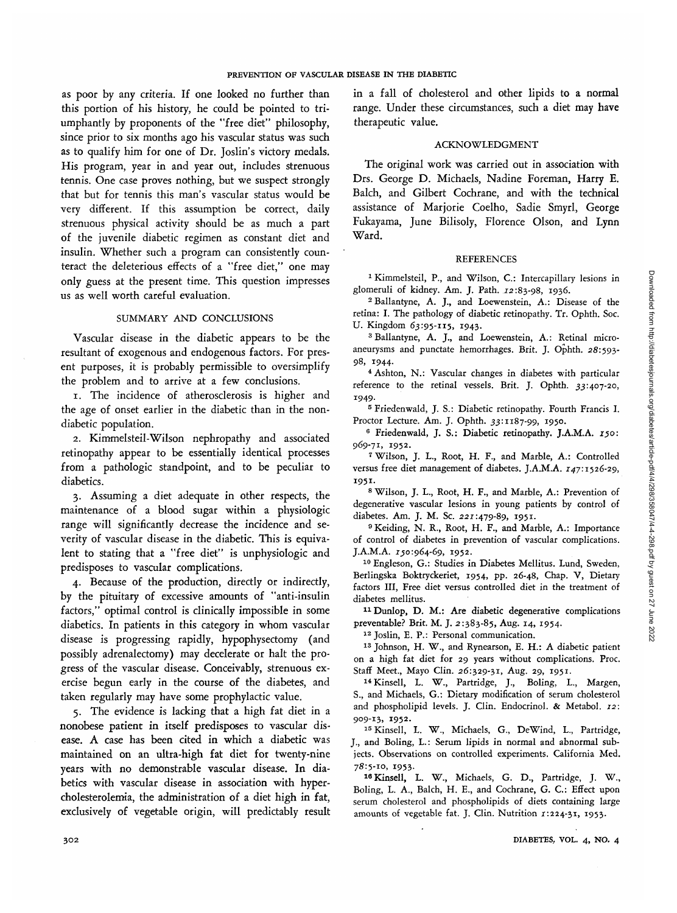as poor by any criteria. If one looked no further than this portion of his history, he could be pointed to triumphantly by proponents of the "free diet" philosophy, since prior to six months ago his vascular status was such as to qualify him for one of Dr. Joslin's victory medals. His program, year in and year out, includes strenuous tennis. One case proves nothing, but we suspect strongly that but for tennis this man's vascular status would be very different. If this assumption be correct, daily strenuous physical activity should be as much a part of the juvenile diabetic regimen as constant diet and insulin. Whether such a program can consistently counteract the deleterious effects of a "free diet," one may only guess at the present time. This question impresses us as well worth careful evaluation.

# SUMMARY AND CONCLUSIONS

Vascular disease in the diabetic appears to be the resultant of exogenous and endogenous factors. For present purposes, it is probably permissible to oversimplify the problem and to arrive at a few conclusions.

1. The incidence of atherosclerosis is higher and the age of onset earlier in the diabetic than in the nondiabetic population.

2. Kimmelsteil-Wilson nephropathy and associated retinopathy appear to be essentially identical processes from a pathologic standpoint, and to be peculiar to diabetics.

3. Assuming a diet adequate in other respects, the maintenance of a blood sugar within a physiologic range will significantly decrease the incidence and severity of vascular disease in the diabetic. This is equivalent to stating that a "free diet" is unphysiologic and predisposes to vascular complications.

4. Because of the production, directly or indirectly, by the pituitary of excessive amounts of "anti-insulin factors," optimal control is clinically impossible in some diabetics. In patients in this category in whom vascular disease is progressing rapidly, hypophysectomy (and possibly adrenalectomy) may decelerate or halt the progress of the vascular disease. Conceivably, strenuous exercise begun early in the course of the diabetes, and taken regularly may have some prophylactic value.

5. The evidence is lacking that a high fat diet in a nonobese patient in itself predisposes to vascular disease. A case has been cited in which a diabetic was maintained on an ultra-high fat diet for twenty-nine years with no demonstrable vascular disease. In diabetics with vascular disease in association with hypercholesterolemia, the administration of a diet high in fat, exclusively of vegetable origin, will predictably result in a fall of cholesterol and other lipids to a normal range. Under these circumstances, such a diet may have therapeutic value.

## ACKNOWLEDGMENT

The original work was carried out in association with Drs. George D. Michaels, Nadine Foreman, Harry E. Balch, and Gilbert Cochrane, and with the technical assistance of Marjorie Coelho, Sadie Smyrl, George Fukayama, June Bilisoly, Florence Olson, and Lynn Ward.

# **REFERENCES**

<sup>1</sup> Kimmelsteil, P., and Wilson, C.: Intercapillary lesions in glomeruli of kidney. Am. J. Path. 12:83-98, 1936. <sup>2</sup>

 Ballantyne, A. J., and Loewenstein, A.: Disease of the retina: I. The pathology of diabetic retinopathy. Tr. Ophth. Soc. U. Kingdom 63:95-115, 1943.

<sup>3</sup> Ballantyne, A. J., and Loewenstein, A.: Retinal microaneurysms and punctate hemorrhages. Brit. J. Ophth. 28:593- 98, 1944- <sup>4</sup>

Ashton, N.: Vascular changes in diabetes with particular reference to the retinal vessels. Brit. J. Ophth. 33:407-20, 1949.

5 Friedenwald, J. S.: Diabetic retinopathy. Fourth Francis I. Proctor Lecture. Am. J. Ophth. 33:1187-99, 1950.

 Friedenwald, J. S.: Diabetic retinopathy. J.A.M.A. *150:* 969-71, 1952. <sup>7</sup>

 Wilson, J. L., Root, H. F., and Marble, A.: Controlled versus free diet management of diabetes. J.A.M.A. 147:1526-29, 1951.

8 Wilson, J. L., Root, H. F., and Marble, A.: Prevention of degenerative vascular lesions in young patients by control of diabetes. Am. J. M. Sc. 221:479-89, 1951.

<sup>9</sup> Keiding, N. R., Root, H. F., and Marble, A.: Importance of control of diabetes in prevention of vascular complications. J.A.M.A. 150:964-69, 1952.

 Engleson, G.: Studies in Diabetes Mellitus. Lund, Sweden, Berlingska Boktryckeriet, 1954, pp. 26-48, Chap. V, Dietary factors III, Free diet versus controlled diet in the treatment of diabetes mellitus.

<sup>11</sup> Dunlop, D. M.: Are diabetic degenerative complications preventable? Brit. M. J. 2:383-85, Aug. 14, 1954.

<sup>12</sup> Joslin, E. P.: Personal communication.

<sup>13</sup> Johnson, H. W., and Rynearson, E. H.: A diabetic patient on a high fat diet for 29 years without complications. Proc.

Staff Meet., Mayo Clin. 26:329-31, Aug. 29, 1951. 14Kinsell, L. W., Partridge, J., Boling, L., Margen, S., and Michaels, G.: Dietary modification of serum cholesterol and phospholipid levels. J. Clin. Endocrinol. & Metabol. *12:* 909-13. 1952. 15Kinsell, L. W., Michaels, G., DeWind, L., Partridge,

J., and Boling, L.: Serum lipids in normal and abnormal subjects. Observations on controlled experiments. California Med. 78:5-10, 1953.

<sup>16</sup> Kinsell, L. W., Michaels, G. D., Partridge, J. W., Boling, L. A., Balch, H. E., and Cochrane, G. C: Effect upon serum cholesterol and phospholipids of diets containing large amounts of vegetable fat. J. Clin. Nutrition 1:224-31, 1953.